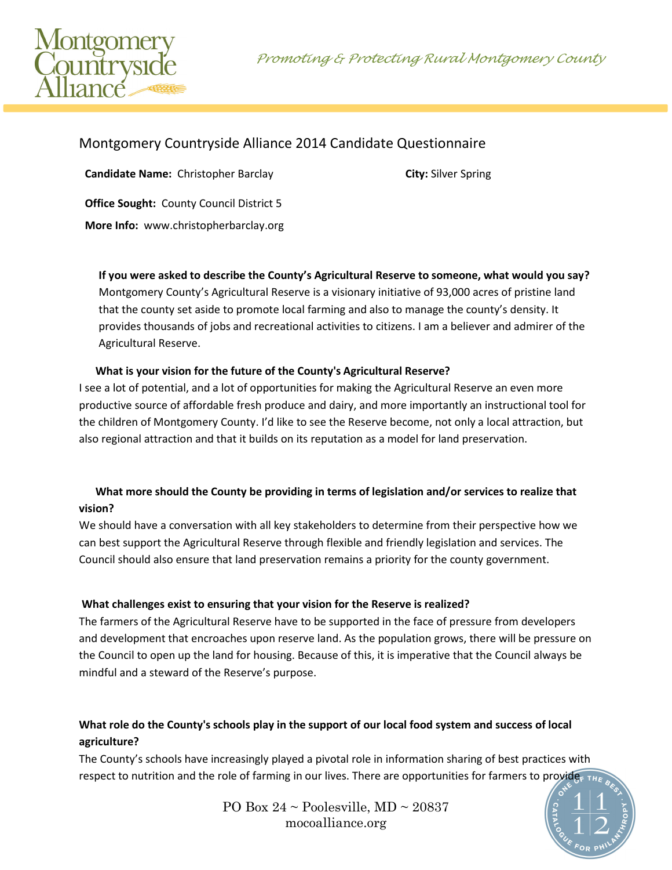Promoting & Protecting Rural Montgomery County



## Montgomery Countryside Alliance 2014 Candidate Questionnaire

**Candidate Name:** Christopher Barclay **City:** Silver Spring

**Office Sought:** County Council District 5

**More Info:** www.christopherbarclay.org

**If you were asked to describe the County's Agricultural Reserve to someone, what would you say?** Montgomery County's Agricultural Reserve is a visionary initiative of 93,000 acres of pristine land that the county set aside to promote local farming and also to manage the county's density. It provides thousands of jobs and recreational activities to citizens. I am a believer and admirer of the

Agricultural Reserve.

 **What is your vision for the future of the County's Agricultural Reserve?**  I see a lot of potential, and a lot of opportunities for making the Agricultural Reserve an even more productive source of affordable fresh produce and dairy, and more importantly an instructional tool for the children of Montgomery County. I'd like to see the Reserve become, not only a local attraction, but also regional attraction and that it builds on its reputation as a model for land preservation.

## **What more should the County be providing in terms of legislation and/or services to realize that vision?**

We should have a conversation with all key stakeholders to determine from their perspective how we can best support the Agricultural Reserve through flexible and friendly legislation and services. The Council should also ensure that land preservation remains a priority for the county government.

## **What challenges exist to ensuring that your vision for the Reserve is realized?**

The farmers of the Agricultural Reserve have to be supported in the face of pressure from developers and development that encroaches upon reserve land. As the population grows, there will be pressure on the Council to open up the land for housing. Because of this, it is imperative that the Council always be mindful and a steward of the Reserve's purpose.

## **What role do the County's schools play in the support of our local food system and success of local agriculture?**

The County's schools have increasingly played a pivotal role in information sharing of best practices with respect to nutrition and the role of farming in our lives. There are opportunities for farmers to provide

> PO Box  $24 \sim$  Poolesville, MD  $\sim$  20837 mocoalliance.org